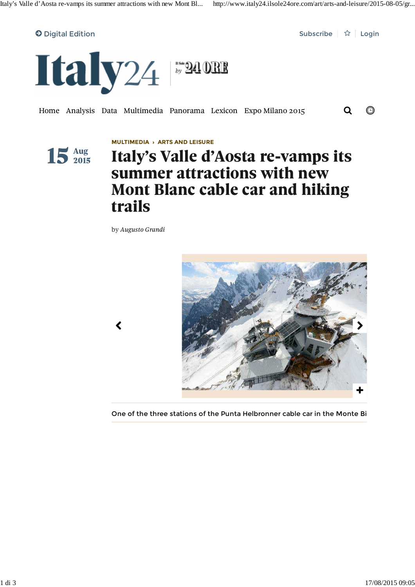

Home Analysis Data Multimedia Panorama Lexicon Expo Milano 2015 Q ©



**MULTIMEDIA › ARTS AND LEISURE**

## **Italy's Valle d'Aosta re-vamps its summer attractions with new Mont Blanc cable car and hiking trails**

by *Augusto Grandi*



One of the three stations of the Punta Helbronner cable car in the Monte Bi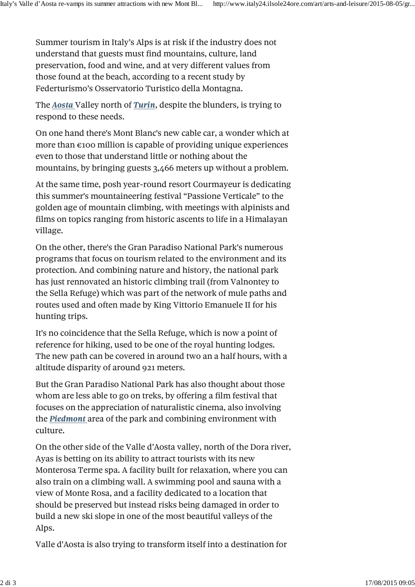Summer tourism in Italy's Alps is at risk if the industry does not understand that guests must find mountains, culture, land preservation, food and wine, and at very different values from those found at the beach, according to a recent study by Federturismo's Osservatorio Turistico della Montagna.

The *Aosta* Valley north of *Turin*, despite the blunders, is trying to respond to these needs.

On one hand there's Mont Blanc's new cable car, a wonder which at more than  $\epsilon$ 100 million is capable of providing unique experiences even to those that understand little or nothing about the mountains, by bringing guests 3,466 meters up without a problem.

At the same time, posh year-round resort Courmayeur is dedicating this summer's mountaineering festival "Passione Verticale" to the golden age of mountain climbing, with meetings with alpinists and films on topics ranging from historic ascents to life in a Himalayan village.

On the other, there's the Gran Paradiso National Park's numerous programs that focus on tourism related to the environment and its protection. And combining nature and history, the national park has just rennovated an historic climbing trail (from Valnontey to the Sella Refuge) which was part of the network of mule paths and routes used and often made by King Vittorio Emanuele II for his hunting trips.

It's no coincidence that the Sella Refuge, which is now a point of reference for hiking, used to be one of the royal hunting lodges. The new path can be covered in around two an a half hours, with a altitude disparity of around 921 meters.

But the Gran Paradiso National Park has also thought about those whom are less able to go on treks, by offering a film festival that focuses on the appreciation of naturalistic cinema, also involving the *Piedmont* area of the park and combining environment with culture.

On the other side of the Valle d'Aosta valley, north of the Dora river, Ayas is betting on its ability to attract tourists with its new Monterosa Terme spa. A facility built for relaxation, where you can also train on a climbing wall. A swimming pool and sauna with a view of Monte Rosa, and a facility dedicated to a location that should be preserved but instead risks being damaged in order to build a new ski slope in one of the most beautiful valleys of the Alps.

Valle d'Aosta is also trying to transform itself into a destination for